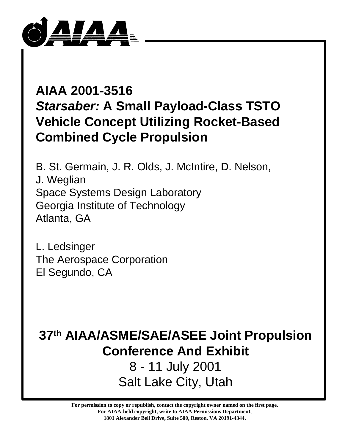

# **AIAA 2001-3516** *Starsaber:* **A Small Payload-Class TSTO Vehicle Concept Utilizing Rocket-Based Combined Cycle Propulsion**

B. St. Germain, J. R. Olds, J. McIntire, D. Nelson, J. Weglian Space Systems Design Laboratory Georgia Institute of Technology Atlanta, GA

L. Ledsinger The Aerospace Corporation El Segundo, CA

**37th AIAA/ASME/SAE/ASEE Joint Propulsion Conference And Exhibit**

> 8 - 11 July 2001 Salt Lake City, Utah

**For permission to copy or republish, contact the copyright owner named on the first page. For AIAA-held copyright, write to AIAA Permissions Department, 1801 Alexander Bell Drive, Suite 500, Reston, VA 20191-4344.**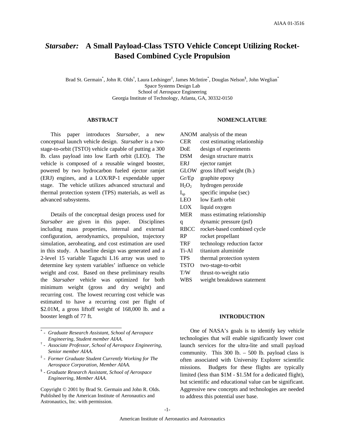# *Starsaber:* **A Small Payload-Class TSTO Vehicle Concept Utilizing Rocket-Based Combined Cycle Propulsion**

Brad St. Germain\*, John R. Olds<sup>†</sup>, Laura Ledsinger<sup>‡</sup>, James McIntire<sup>\*</sup>, Douglas Nelson<sup>§</sup>, John Weglian<sup>\*</sup> Space Systems Design Lab School of Aerospace Engineering Georgia Institute of Technology, Atlanta, GA, 30332-0150

## **ABSTRACT**

This paper introduces *Starsaber*, a new conceptual launch vehicle design. *Starsaber* is a twostage-to-orbit (TSTO) vehicle capable of putting a 300 lb. class payload into low Earth orbit (LEO). The vehicle is composed of a reusable winged booster, powered by two hydrocarbon fueled ejector ramjet (ERJ) engines, and a LOX/RP-1 expendable upper stage. The vehicle utilizes advanced structural and thermal protection system (TPS) materials, as well as advanced subsystems.

Details of the conceptual design process used for *Starsaber* are given in this paper. Disciplines including mass properties, internal and external configuration, aerodynamics, propulsion, trajectory simulation, aeroheating, and cost estimation are used in this study. A baseline design was generated and a 2-level 15 variable Taguchi L16 array was used to determine key system variables' influence on vehicle weight and cost. Based on these preliminary results the *Starsaber* vehicle was optimized for both minimum weight (gross and dry weight) and recurring cost. The lowest recurring cost vehicle was estimated to have a recurring cost per flight of \$2.01M, a gross liftoff weight of 168,000 lb. and a booster length of 77 ft.

 $\overline{a}$ 

- ‡ *Former Graduate Student Currently Working for The Aerospace Corporation, Member AIAA.*
- § *Graduate Research Assistant, School of Aerospace Engineering, Member AIAA.*

Copyright © 2001 by Brad St. Germain and John R. Olds. Published by the American Institute of Aeronautics and Astronautics, Inc. with permission.

#### **NOMENCLATURE**

|             | ANOM analysis of the mean    |
|-------------|------------------------------|
| <b>CER</b>  | cost estimating relationship |
| DoE         | design of experiments        |
| <b>DSM</b>  | design structure matrix      |
| <b>ERJ</b>  | ejector ramjet               |
| GLOW        | gross liftoff weight (lb.)   |
| Gr/Ep       | graphite epoxy               |
| $H_2O_2$    | hydrogen peroxide            |
| $I_{sp}$    | specific impulse (sec)       |
| LEO         | low Earth orbit              |
| LOX         | liquid oxygen                |
| <b>MER</b>  | mass estimating relationship |
| q           | dynamic pressure (psf)       |
| <b>RBCC</b> | rocket-based combined cycle  |
| RP          | rocket propellant            |
| <b>TRF</b>  | technology reduction factor  |
| Ti-Al       | titanium aluminide           |
| <b>TPS</b>  | thermal protection system    |
| TSTO        | two-stage-to-orbit           |
| T/W         | thrust-to-weight ratio       |
| <b>WBS</b>  | weight breakdown statement   |

# **INTRODUCTION**

One of NASA's goals is to identify key vehicle technologies that will enable significantly lower cost launch services for the ultra-lite and small payload community. This 300 lb. – 500 lb. payload class is often associated with University Explorer scientific missions. Budgets for these flights are typically limited (less than \$1M - \$1.5M for a dedicated flight), but scientific and educational value can be significant. Aggressive new concepts and technologies are needed to address this potential user base.

<sup>\*</sup>  *- Graduate Research Assistant, School of Aerospace Engineering, Student member AIAA.*

<sup>†</sup>  *- Associate Professor, School of Aerospace Engineering, Senior member AIAA.*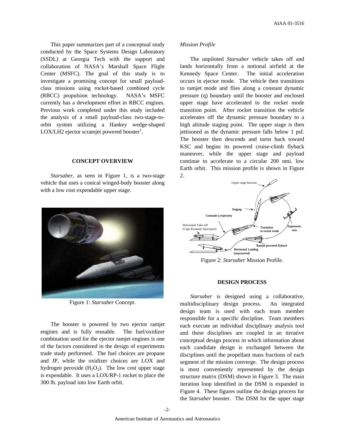This paper summarizes part of a conceptual study conducted by the Space Systems Design Laboratory (SSDL) at Georgia Tech with the support and collaboration of NASA's Marshall Space Flight Center (MSFC). The goal of this study is to investigate a promising concept for small payloadclass missions using rocket-based combined cycle (RBCC) propulsion technology. NASA's MSFC currently has a development effort in RBCC engines. Previous work completed under this study included the analysis of a small payload-class two-stage-toorbit system utilizing a Hankey wedge-shaped  $LOX/LH2$  ejector scramjet powered booster<sup>1</sup>.

#### **CONCEPT OVERVIEW**

*Starsaber*, as seen in Figure 1, is a two-stage vehicle that uses a conical winged-body booster along with a low cost expendable upper stage.



Figure 1: *Starsaber* Concept.

The booster is powered by two ejector ramjet engines and is fully reusable. The fuel/oxidizer combination used for the ejector ramjet engines is one of the factors considered in the design of experiments trade study performed. The fuel choices are propane and JP, while the oxidizer choices are LOX and hydrogen peroxide  $(H_2O_2)$ . The low cost upper stage is expendable. It uses a LOX/RP-1 rocket to place the 300 lb. payload into low Earth orbit.

#### *Mission Profile*

The unpiloted *Starsaber* vehicle takes off and lands horizontally from a notional airfield at the Kennedy Space Center. The initial acceleration occurs in ejector mode. The vehicle then transitions to ramjet mode and flies along a constant dynamic pressure (q) boundary until the booster and enclosed upper stage have accelerated to the rocket mode transition point. After rocket transition the vehicle accelerates off the dynamic pressure boundary to a high altitude staging point. The upper stage is then jettisoned as the dynamic pressure falls below 1 psf. The booster then descends and turns back toward KSC and begins its powered cruise-climb flyback maneuver, while the upper stage and payload continue to accelerate to a circular 200 nmi. low Earth orbit. This mission profile is shown in Figure 2.



Figure 2: *Starsaber* Mission Profile.

#### **DESIGN PROCESS**

*Starsaber* is designed using a collaborative, multidisciplinary design process. An integrated design team is used with each team member responsible for a specific discipline. Team members each execute an individual disciplinary analysis tool and these disciplines are coupled in an iterative conceptual design process in which information about each candidate design is exchanged between the disciplines until the propellant mass fractions of each segment of the mission converge. The design process is most conveniently represented by the design structure matrix (DSM) shown in Figure 3. The main iteration loop identified in the DSM is expanded in Figure 4. These figures outline the design process for the *Starsaber* booster. The DSM for the upper stage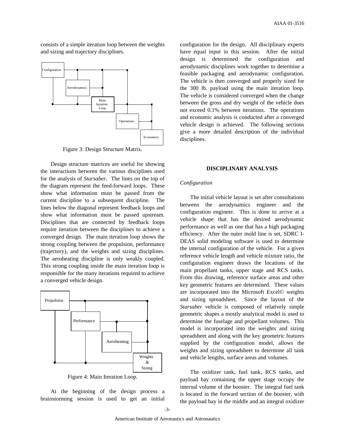consists of a simple iteration loop between the weights and sizing and trajectory disciplines.



Figure 3: Design Structure Matrix.

Design structure matrices are useful for showing the interactions between the various disciplines used for the analysis of *Starsaber*. The lines on the top of the diagram represent the feed-forward loops. These show what information must be passed from the current discipline to a subsequent discipline. The lines below the diagonal represent feedback loops and show what information must be passed upstream. Disciplines that are connected by feedback loops require iteration between the disciplines to achieve a converged design. The main iteration loop shows the strong coupling between the propulsion, performance (trajectory), and the weights and sizing disciplines. The aeroheating discipline is only weakly coupled. This strong coupling inside the main iteration loop is responsible for the many iterations required to achieve a converged vehicle design.



Figure 4: Main Iteration Loop.

At the beginning of the design process a brainstorming session is used to get an initial

configuration for the design. All disciplinary experts have equal input in this session. After the initial design is determined the configuration aerodynamic disciplines work together to determine a feasible packaging and aerodynamic configuration. The vehicle is then converged and properly sized for the 300 lb. payload using the main iteration loop. The vehicle is considered converged when the change between the gross and dry weight of the vehicle does not exceed 0.1% between iterations. The operations and economic analysis is conducted after a converged vehicle design is achieved. The following sections give a more detailed description of the individual disciplines.

# **DISCIPLINARY ANALYSIS**

#### *Configuration*

The initial vehicle layout is set after consultations between the aerodynamics engineer and the configuration engineer. This is done to arrive at a vehicle shape that has the desired aerodynamic performance as well as one that has a high packaging efficiency. After the outer mold line is set, SDRC I-DEAS solid modeling software is used to determine the internal configuration of the vehicle. For a given reference vehicle length and vehicle mixture ratio, the configuration engineer draws the locations of the main propellant tanks, upper stage and RCS tanks. From this drawing, reference surface areas and other key geometric features are determined. These values are incorporated into the Microsoft Excel© weights and sizing spreadsheet. Since the layout of the *Starsaber* vehicle is composed of relatively simple geometric shapes a mostly analytical model is used to determine the fuselage and propellant volumes. This model is incorporated into the weights and sizing spreadsheet and along with the key geometric features supplied by the configuration model, allows the weights and sizing spreadsheet to determine all tank and vehicle lengths, surface areas and volumes.

The oxidizer tank, fuel tank, RCS tanks, and payload bay containing the upper stage occupy the internal volume of the booster. The integral fuel tank is located in the forward section of the booster, with the payload bay in the middle and an integral oxidizer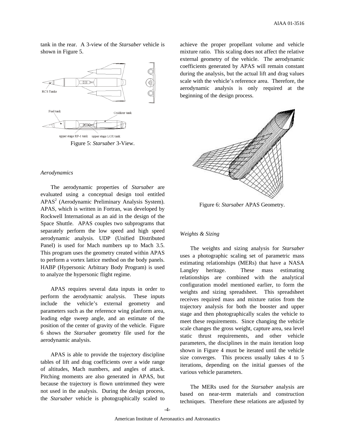tank in the rear. A 3-view of the *Starsaber* vehicle is shown in Figure 5.



# *Aerodynamics*

The aerodynamic properties of *Starsaber* are evaluated using a conceptual design tool entitled  $APAS<sup>2</sup>$  (Aerodynamic Preliminary Analysis System). APAS, which is written in Fortran, was developed by Rockwell International as an aid in the design of the Space Shuttle. APAS couples two subprograms that separately perform the low speed and high speed aerodynamic analysis. UDP (Unified Distributed Panel) is used for Mach numbers up to Mach 3.5. This program uses the geometry created within APAS to perform a vortex lattice method on the body panels. HABP (Hypersonic Arbitrary Body Program) is used to analyze the hypersonic flight regime.

APAS requires several data inputs in order to perform the aerodynamic analysis. These inputs include the vehicle's external geometry and parameters such as the reference wing planform area, leading edge sweep angle, and an estimate of the position of the center of gravity of the vehicle. Figure 6 shows the *Starsaber* geometry file used for the aerodynamic analysis.

APAS is able to provide the trajectory discipline tables of lift and drag coefficients over a wide range of altitudes, Mach numbers, and angles of attack. Pitching moments are also generated in APAS, but because the trajectory is flown untrimmed they were not used in the analysis. During the design process, the *Starsaber* vehicle is photographically scaled to

achieve the proper propellant volume and vehicle mixture ratio. This scaling does not affect the relative external geometry of the vehicle. The aerodynamic coefficients generated by APAS will remain constant during the analysis, but the actual lift and drag values scale with the vehicle's reference area. Therefore, the aerodynamic analysis is only required at the beginning of the design process.



Figure 6: *Starsaber* APAS Geometry.

#### *Weights & Sizing*

The weights and sizing analysis for *Starsaber* uses a photographic scaling set of parametric mass estimating relationships (MERs) that have a NASA Langley heritage. These mass estimating relationships are combined with the analytical configuration model mentioned earlier, to form the weights and sizing spreadsheet. This spreadsheet receives required mass and mixture ratios from the trajectory analysis for both the booster and upper stage and then photographically scales the vehicle to meet these requirements. Since changing the vehicle scale changes the gross weight, capture area, sea level static thrust requirements, and other vehicle parameters, the disciplines in the main iteration loop shown in Figure 4 must be iterated until the vehicle size converges. This process usually takes 4 to 5 iterations, depending on the initial guesses of the various vehicle parameters.

The MERs used for the *Starsaber* analysis are based on near-term materials and construction techniques. Therefore these relations are adjusted by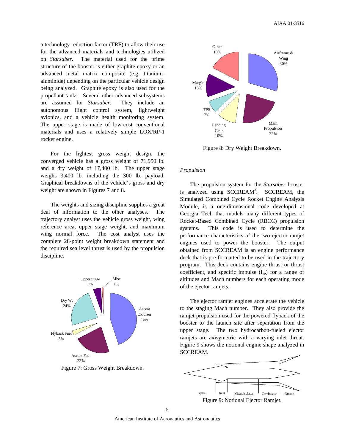a technology reduction factor (TRF) to allow their use for the advanced materials and technologies utilized on *Starsaber*. The material used for the prime structure of the booster is either graphite epoxy or an advanced metal matrix composite (e.g. titaniumaluminide) depending on the particular vehicle design being analyzed. Graphite epoxy is also used for the propellant tanks. Several other advanced subsystems are assumed for *Starsaber*. They include an autonomous flight control system, lightweight avionics, and a vehicle health monitoring system. The upper stage is made of low-cost conventional materials and uses a relatively simple LOX/RP-1 rocket engine.

For the lightest gross weight design, the converged vehicle has a gross weight of 71,950 lb. and a dry weight of 17,400 lb. The upper stage weighs 3,400 lb. including the 300 lb. payload. Graphical breakdowns of the vehicle's gross and dry weight are shown in Figures 7 and 8.

The weights and sizing discipline supplies a great deal of information to the other analyses. The trajectory analyst uses the vehicle gross weight, wing reference area, upper stage weight, and maximum wing normal force. The cost analyst uses the complete 28-point weight breakdown statement and the required sea level thrust is used by the propulsion discipline.





Figure 8: Dry Weight Breakdown.

#### *Propulsion*

The propulsion system for the *Starsaber* booster is analyzed using SCCREAM<sup>3</sup>. . SCCREAM, the Simulated Combined Cycle Rocket Engine Analysis Module, is a one-dimensional code developed at Georgia Tech that models many different types of Rocket-Based Combined Cycle (RBCC) propulsion systems. This code is used to determine the performance characteristics of the two ejector ramjet engines used to power the booster. The output obtained from SCCREAM is an engine performance deck that is pre-formatted to be used in the trajectory program. This deck contains engine thrust or thrust coefficient, and specific impulse  $(I_{\rm so})$  for a range of altitudes and Mach numbers for each operating mode of the ejector ramjets.

The ejector ramjet engines accelerate the vehicle to the staging Mach number. They also provide the ramjet propulsion used for the powered flyback of the booster to the launch site after separation from the upper stage. The two hydrocarbon-fueled ejector ramjets are axisymetric with a varying inlet throat. Figure 9 shows the notional engine shape analyzed in SCCREAM.

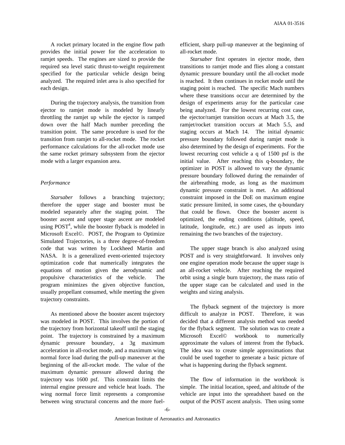A rocket primary located in the engine flow path provides the initial power for the acceleration to ramjet speeds. The engines are sized to provide the required sea level static thrust-to-weight requirement specified for the particular vehicle design being analyzed. The required inlet area is also specified for each design.

During the trajectory analysis, the transition from ejector to ramjet mode is modeled by linearly throttling the ramjet up while the ejector is ramped down over the half Mach number preceding the transition point. The same procedure is used for the transition from ramjet to all-rocket mode. The rocket performance calculations for the all-rocket mode use the same rocket primary subsystem from the ejector mode with a larger expansion area.

# *Performance*

*Starsaber* follows a branching trajectory; therefore the upper stage and booster must be modeled separately after the staging point. The booster ascent and upper stage ascent are modeled using  $POST<sup>4</sup>$ , while the booster flyback is modeled in Microsoft Excel©. POST, the Program to Optimize Simulated Trajectories, is a three degree-of-freedom code that was written by Lockheed Martin and NASA. It is a generalized event-oriented trajectory optimization code that numerically integrates the equations of motion given the aerodynamic and propulsive characteristics of the vehicle. The program minimizes the given objective function, usually propellant consumed, while meeting the given trajectory constraints.

As mentioned above the booster ascent trajectory was modeled in POST. This involves the portion of the trajectory from horizontal takeoff until the staging point. The trajectory is constrained by a maximum dynamic pressure boundary, a 3g maximum acceleration in all-rocket mode, and a maximum wing normal force load during the pull-up maneuver at the beginning of the all-rocket mode. The value of the maximum dynamic pressure allowed during the trajectory was 1600 psf. This constraint limits the internal engine pressure and vehicle heat loads. The wing normal force limit represents a compromise between wing structural concerns and the more fuelefficient, sharp pull-up maneuver at the beginning of all-rocket mode.

*Starsaber* first operates in ejector mode, then transitions to ramjet mode and flies along a constant dynamic pressure boundary until the all-rocket mode is reached. It then continues in rocket mode until the staging point is reached. The specific Mach numbers where these transitions occur are determined by the design of experiments array for the particular case being analyzed. For the lowest recurring cost case, the ejector/ramjet transition occurs at Mach 3.5, the ramjet/rocket transition occurs at Mach 5.5, and staging occurs at Mach 14. The initial dynamic pressure boundary followed during ramjet mode is also determined by the design of experiments. For the lowest recurring cost vehicle a q of 1500 psf is the initial value. After reaching this q-boundary, the optimizer in POST is allowed to vary the dynamic pressure boundary followed during the remainder of the airbreathing mode, as long as the maximum dynamic pressure constraint is met. An additional constraint imposed in the DoE on maximum engine static pressure limited, in some cases, the q-boundary that could be flown. Once the booster ascent is optimized, the ending conditions (altitude, speed, latitude, longitude, etc.) are used as inputs into remaining the two branches of the trajectory.

The upper stage branch is also analyzed using POST and is very straightforward. It involves only one engine operation mode because the upper stage is an all-rocket vehicle. After reaching the required orbit using a single burn trajectory, the mass ratio of the upper stage can be calculated and used in the weights and sizing analysis.

The flyback segment of the trajectory is more difficult to analyze in POST. Therefore, it was decided that a different analysis method was needed for the flyback segment. The solution was to create a Microsoft Excel© workbook to numerically approximate the values of interest from the flyback. The idea was to create simple approximations that could be used together to generate a basic picture of what is happening during the flyback segment.

The flow of information in the workbook is simple. The initial location, speed, and altitude of the vehicle are input into the spreadsheet based on the output of the POST ascent analysis. Then using some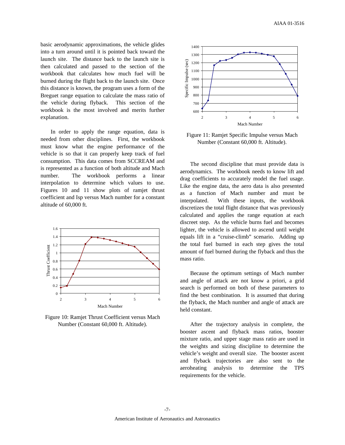basic aerodynamic approximations, the vehicle glides into a turn around until it is pointed back toward the launch site. The distance back to the launch site is then calculated and passed to the section of the workbook that calculates how much fuel will be burned during the flight back to the launch site. Once this distance is known, the program uses a form of the Breguet range equation to calculate the mass ratio of the vehicle during flyback. This section of the workbook is the most involved and merits further explanation.

In order to apply the range equation, data is needed from other disciplines. First, the workbook must know what the engine performance of the vehicle is so that it can properly keep track of fuel consumption. This data comes from SCCREAM and is represented as a function of both altitude and Mach number. The workbook performs a linear interpolation to determine which values to use. Figures 10 and 11 show plots of ramjet thrust coefficient and Isp versus Mach number for a constant altitude of 60,000 ft.



Figure 10: Ramjet Thrust Coefficient versus Mach Number (Constant 60,000 ft. Altitude).



Figure 11: Ramjet Specific Impulse versus Mach Number (Constant 60,000 ft. Altitude).

The second discipline that must provide data is aerodynamics. The workbook needs to know lift and drag coefficients to accurately model the fuel usage. Like the engine data, the aero data is also presented as a function of Mach number and must be interpolated. With these inputs, the workbook discretizes the total flight distance that was previously calculated and applies the range equation at each discreet step. As the vehicle burns fuel and becomes lighter, the vehicle is allowed to ascend until weight equals lift in a "cruise-climb" scenario. Adding up the total fuel burned in each step gives the total amount of fuel burned during the flyback and thus the mass ratio.

Because the optimum settings of Mach number and angle of attack are not know a priori, a grid search is performed on both of these parameters to find the best combination. It is assumed that during the flyback, the Mach number and angle of attack are held constant.

After the trajectory analysis in complete, the booster ascent and flyback mass ratios, booster mixture ratio, and upper stage mass ratio are used in the weights and sizing discipline to determine the vehicle's weight and overall size. The booster ascent and flyback trajectories are also sent to the aeroheating analysis to determine the TPS requirements for the vehicle.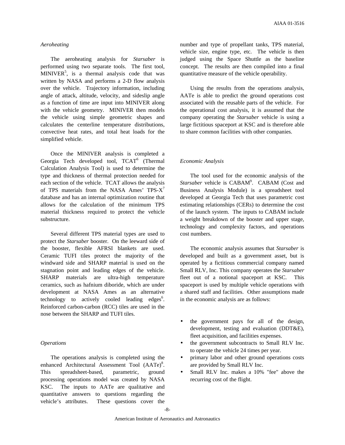## *Aeroheating*

The aeroheating analysis for *Starsaber* is performed using two separate tools. The first tool,  $MINIVER<sup>5</sup>$ , is a thermal analysis code that was written by NASA and performs a 2-D flow analysis over the vehicle. Trajectory information, including angle of attack, altitude, velocity, and sideslip angle as a function of time are input into MINIVER along with the vehicle geometry. MINIVER then models the vehicle using simple geometric shapes and calculates the centerline temperature distributions, convective heat rates, and total heat loads for the simplified vehicle.

Once the MINIVER analysis is completed a Georgia Tech developed tool, TCAT<sup>6</sup> (Thermal Calculation Analysis Tool) is used to determine the type and thickness of thermal protection needed for each section of the vehicle. TCAT allows the analysis of TPS materials from the NASA Ames'  $TPS-X^7$ database and has an internal optimization routine that allows for the calculation of the minimum TPS material thickness required to protect the vehicle substructure.

Several different TPS material types are used to protect the *Starsaber* booster. On the leeward side of the booster, flexible AFRSI blankets are used. Ceramic TUFI tiles protect the majority of the windward side and SHARP material is used on the stagnation point and leading edges of the vehicle. SHARP materials are ultra-high temperature ceramics, such as hafnium diboride, which are under development at NASA Ames as an alternative technology to actively cooled leading edges<sup>6</sup>. Reinforced carbon-carbon (RCC) tiles are used in the nose between the SHARP and TUFI tiles.

## *Operations*

The operations analysis is completed using the enhanced Architectural Assessment Tool (AATe)<sup>8</sup>. This spreadsheet-based, parametric, ground processing operations model was created by NASA KSC. The inputs to AATe are qualitative and quantitative answers to questions regarding the vehicle's attributes. These questions cover the number and type of propellant tanks, TPS material, vehicle size, engine type, etc. The vehicle is then judged using the Space Shuttle as the baseline concept. The results are then compiled into a final quantitative measure of the vehicle operability.

Using the results from the operations analysis, AATe is able to predict the ground operations cost associated with the reusable parts of the vehicle. For the operational cost analysis, it is assumed that the company operating the *Starsaber* vehicle is using a large fictitious spaceport at KSC and is therefore able to share common facilities with other companies.

#### *Economic Analysis*

The tool used for the economic analysis of the Starsaber vehicle is CABAM<sup>9</sup>. CABAM (Cost and Business Analysis Module) is a spreadsheet tool developed at Georgia Tech that uses parametric cost estimating relationships (CERs) to determine the cost of the launch system. The inputs to CABAM include a weight breakdown of the booster and upper stage, technology and complexity factors, and operations cost numbers.

The economic analysis assumes that *Starsaber* is developed and built as a government asset, but is operated by a fictitious commercial company named Small RLV, Inc. This company operates the *Starsaber* fleet out of a notional spaceport at KSC. This spaceport is used by multiple vehicle operations with a shared staff and facilities. Other assumptions made in the economic analysis are as follows:

- the government pays for all of the design, development, testing and evaluation (DDT&E), fleet acquisition, and facilities expenses.
- the government subcontracts to Small RLV Inc. to operate the vehicle 24 times per year.
- primary labor and other ground operations costs are provided by Small RLV Inc.
- Small RLV Inc. makes a 10% "fee" above the recurring cost of the flight.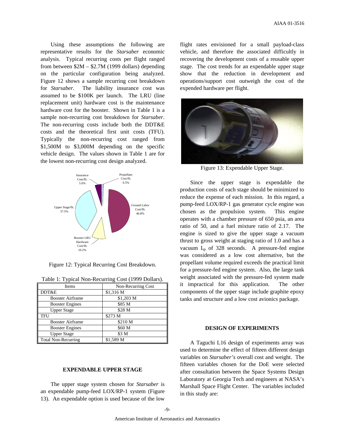Using these assumptions the following are representative results for the *Starsaber* economic analysis. Typical recurring costs per flight ranged from between  $$2M - $2.7M$  (1999 dollars) depending on the particular configuration being analyzed. Figure 12 shows a sample recurring cost breakdown for *Starsaber*. The liability insurance cost was assumed to be \$100K per launch. The LRU (line replacement unit) hardware cost is the maintenance hardware cost for the booster. Shown in Table 1 is a sample non-recurring cost breakdown for *Starsaber*. The non-recurring costs include both the DDT&E costs and the theoretical first unit costs (TFU). Typically the non-recurring cost ranged from \$1,500M to \$3,000M depending on the specific vehicle design. The values shown in Table 1 are for the lowest non-recurring cost design analyzed.



Figure 12: Typical Recurring Cost Breakdown.

| Items                      | Non-Recurring Cost |
|----------------------------|--------------------|
| DDT&E                      | \$1,316 M          |
| <b>Booster Airframe</b>    | \$1,203 M          |
| <b>Booster Engines</b>     | \$85 M             |
| <b>Upper Stage</b>         | \$28 M             |
| <b>TFU</b>                 | \$273 M            |
| <b>Booster Airframe</b>    | \$210 M            |
| <b>Booster Engines</b>     | \$60 M             |
| <b>Upper Stage</b>         | \$3 M              |
| <b>Total Non-Recurring</b> | \$1,589 M          |

|  |  |  |  |  |  |  |  | Table 1: Typical Non-Recurring Cost (1999 Dollars). |  |
|--|--|--|--|--|--|--|--|-----------------------------------------------------|--|
|--|--|--|--|--|--|--|--|-----------------------------------------------------|--|

## **EXPENDABLE UPPER STAGE**

The upper stage system chosen for *Starsaber* is an expendable pump-feed LOX/RP-1 system (Figure 13). An expendable option is used because of the low

flight rates envisioned for a small payload-class vehicle, and therefore the associated difficultly in recovering the development costs of a reusable upper stage. The cost trends for an expendable upper stage show that the reduction in development and operations/support cost outweigh the cost of the expended hardware per flight.



Figure 13: Expendable Upper Stage.

Since the upper stage is expendable the production costs of each stage should be minimized to reduce the expense of each mission. In this regard, a pump-feed LOX/RP-1 gas generator cycle engine was chosen as the propulsion system. This engine operates with a chamber pressure of 650 psia, an area ratio of 50, and a fuel mixture ratio of 2.17. The engine is sized to give the upper stage a vacuum thrust to gross weight at staging ratio of 1.0 and has a vacuum  $I_{\rm SD}$  of 328 seconds. A pressure-fed engine was considered as a low cost alternative, but the propellant volume required exceeds the practical limit for a pressure-fed engine system. Also, the large tank weight associated with the pressure-fed system made it impractical for this application. The other components of the upper stage include graphite epoxy tanks and structure and a low cost avionics package.

## **DESIGN OF EXPERIMENTS**

A Taguchi L16 design of experiments array was used to determine the effect of fifteen different design variables on *Starsaber's* overall cost and weight. The fifteen variables chosen for the DoE were selected after consultation between the Space Systems Design Laboratory at Georgia Tech and engineers at NASA's Marshall Space Flight Center. The variables included in this study are: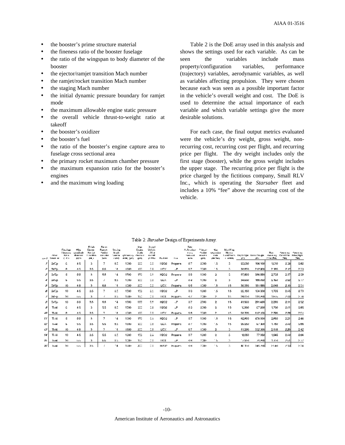- the booster's prime structure material
- the fineness ratio of the booster fuselage
- the ratio of the wingspan to body diameter of the booster
- the ejector/ramjet transition Mach number
- the ramjet/rocket transition Mach number
- the staging Mach number
- the initial dynamic pressure boundary for ramjet mode
- the maximum allowable engine static pressure
- the overall vehicle thrust-to-weight ratio at takeoff
- the booster's oxidizer
- the booster's fuel
- the ratio of the booster's engine capture area to fuselage cross sectional area
- the primary rocket maximum chamber pressure
- the maximum expansion ratio for the booster's engines
- and the maximum wing loading

Table 2 is the DoE array used in this analysis and shows the settings used for each variable. As can be seen the variables include mass property/configuration variables, performance (trajectory) variables, aerodynamic variables, as well as variables affecting propulsion. They were chosen because each was seen as a possible important factor in the vehicle's overall weight and cost. The DoE is used to determine the actual importance of each variable and which variable settings give the more desirable solutions.

For each case, the final output metrics evaluated were the vehicle's dry weight, gross weight, nonrecurring cost, recurring cost per flight, and recurring price per flight. The dry weight includes only the first stage (booster), while the gross weight includes the upper stage. The recurring price per flight is the price charged by the fictitious company, Small RLV Inc., which is operating the *Starsaber* fleet and includes a 10% "fee" above the recurring cost of the vehicle.

| ezn I         | -dur<br>Sinks re | <b>Finalists</b><br>l innezz<br>RT N<br>0.401 | With.<br>spackade<br>dameter.<br>(642) | Frida<br>Ejectus<br>Bor ist<br><b>Institute</b><br>TM T | Firm<br><b>Rand</b><br>Footet<br>rark dor<br>(km) | Swaing<br>kaali<br>kuunna.<br>r stero | about a v<br>an Mali (per) | <b>Pus</b><br>Engine<br>Gludia<br>Provenil i<br>in-li | Draigh<br>William<br>AS AL<br>nachdt.<br><b>LLANDS</b> | The dizer | $\mathbf{a}$  | Tutu<br>Achivalous<br>0.194<br>then o tal<br>N <sub>*</sub> | Primary.<br>Postak.<br>macka<br>in•li | الموالا<br>expansion.<br>ruh<br><b>District</b> | MaxWing<br>No ma<br><b>LANNA</b> | $(1-1)$ | LoadVisors, Lity Varight, Grass Words,<br>jir i | Nur<br>Post ning<br>Concentrate | fourn na<br><b>Daniel Inter</b><br><b>1700</b> | Fourning<br><b>Edecylight</b><br>(FM) |
|---------------|------------------|-----------------------------------------------|----------------------------------------|---------------------------------------------------------|---------------------------------------------------|---------------------------------------|----------------------------|-------------------------------------------------------|--------------------------------------------------------|-----------|---------------|-------------------------------------------------------------|---------------------------------------|-------------------------------------------------|----------------------------------|---------|-------------------------------------------------|---------------------------------|------------------------------------------------|---------------------------------------|
|               | Gr/Cp            | c                                             | 45                                     | 2.                                                      | 7                                                 | 0.5                                   | 1200                       | 300                                                   | $\sim$ $\diamond$<br>---                               | 11202     | Frapane       | 07                                                          | 2000                                  | ٠.                                              | 2                                | 22,050  | 106 100                                         | 1,010                           | 2.30                                           | 2.62                                  |
| 2             | ShPp.            | B.                                            | 4.6                                    | 35                                                      | តត                                                | 14.                                   | 1500                       | 150                                                   | DR.                                                    | TCX.      | Р             | 97                                                          | 2000                                  | 1.5                                             | 3.                               | 34 RFO  | 212.270                                         | 2.1RG                           | 2.12                                           | 2.33                                  |
| 31            | Gi/Ep            | s.                                            | 55                                     | э.                                                      | 55                                                | $-4$                                  | 1500                       | 150                                                   | 0.6                                                    | H2C2      | Propane       | 03                                                          | 1000                                  | 乏                                               | а                                | 57,600  | 584 550                                         | 2735                            | 2.17                                           | 239                                   |
|               | är/≡p            | ь                                             | 99.                                    | 35                                                      | ÷                                                 | $\mathbf{u}$ .                        | 1200                       | 300                                                   | ≌.                                                     | LGX       | H.            | Ud.                                                         | 1000                                  | 2                                               | B.                               | 34.BUJ  | 186,050                                         | 2160                            | 2,52                                           | 2.22                                  |
| ΞI            | OMED.            | 19.                                           | 45                                     | з.                                                      | 55                                                | ۰.                                    | 1200                       | 300                                                   | 4.4                                                    | LCX       | Гторегъ       | 98                                                          | 1200                                  | $\cdot$ 5                                       | 15                               | 30.350  | 181,890                                         | 2015                            | 2.19                                           | 231                                   |
| ó             | Gr/Cp            | 10                                            | 45                                     | 3.5                                                     | 7.                                                | éΣ                                    | 1500                       | 150                                                   | 2.1                                                    | 11202     | ъP            | oa.                                                         | 1000                                  | ٠.                                              | 15                               | 23, 150 | 134 300                                         | 1,705                           | 2.45                                           | 270                                   |
|               | Hr/~p            | 11                                            | 1111                                   | з.                                                      |                                                   | H b                                   | 1900                       | 180                                                   | ::                                                     | 1,418     | <b>Hapans</b> | 47                                                          | 2000                                  | 2                                               | 11.                              | 2413.41 | 116:400                                         | 1880                            | 見報                                             | 2.74                                  |
| s.            | Si/Ep            | 10                                            | 55                                     | 3,5                                                     | 55                                                | 14                                    | 1000                       | 355                                                   | 9.5                                                    | H2C2      | чP.           | 97                                                          | 2000                                  | 2                                               | 15                               | 41.500  | 291450                                          | 2290                            | 2.11                                           | 252                                   |
| д             | TEAL             | c.                                            | 45                                     | 2.                                                      | 55                                                | 0.5                                   | 1500                       | 222                                                   | Ωâ                                                     | 11202     | ٠P            | oa.                                                         | 2000                                  | 2                                               | 15                               | 10,500  | 07.200                                          | 1,700                           | 2,41                                           | 265                                   |
| H9.           | TI-AI            | R.                                            | 4.61                                   | 35                                                      | ÷.                                                | 14.                                   | 1000                       | 150                                                   | DB.                                                    | 1CX       | Propansi      | ŋя                                                          | 2000                                  | 2                                               | TE.                              | 54.700  | 412.100                                         | 2790                            | 228                                            | 251                                   |
| 11            | πw               | ε                                             | 55                                     | å.                                                      | 7.                                                | $-4$                                  | 1000                       | 150                                                   | 0.5                                                    | H2C2      | «Р            | 97                                                          | 1000                                  | 1.5                                             | 15                               | 62600   | 474-000                                         | 2860                            | 221                                            | 244                                   |
| w             | <b>IFAL</b>      | ь                                             | o o                                    | 35                                                      | 9.9                                               | 4.2                                   | 1500                       | 300                                                   | D.S                                                    | LGX       | Frapanc       | U f                                                         | 1200                                  | ۵.                                              | 15                               | 20,250  | 67,800                                          | 1.780                           | 2,42                                           | 2.66                                  |
| 13            | TI-AI            | 19.                                           | 45                                     | з                                                       | Ŧ                                                 | 14.                                   | 1900                       | 300                                                   | IJ,                                                    | LCX       | √.            | 97                                                          | 1200                                  | 2.                                              | 3.                               | 11.200  | 552.300                                         | 2415                            | 220                                            | 242                                   |
| 14            | πA               | 10                                            | 45                                     | 3.5                                                     | 55                                                | âΣ                                    | 1000                       | 150                                                   | ûá                                                     | 11202     | Propane       | 97                                                          | 1000                                  | ē.                                              | s.                               | 16,050  | 77.060                                          | 1,545                           | 2,40                                           | 264                                   |
| 26.           | <b>IFAL</b>      | 11                                            | 1111                                   | з.                                                      | £i £i                                             | H b                                   | 1000                       | 180                                                   | ∷ ∷                                                    | 1,618     | ۰.            | 비에                                                          | 2000                                  | t Is                                            | B.                               | ta bela | 所述期                                             | 1794                            | 251                                            | 233                                   |
| $\frac{1}{2}$ | $1 - \mu$        | 11                                            | 1111                                   | 35                                                      |                                                   | $-4$                                  | 1900                       | 300                                                   | $\mathbb{Z} \oplus$                                    | нля       | <b>Hanard</b> | 비에                                                          | 2000                                  | t is                                            | ĸ.                               | 4011991 | 34G AKI                                         | 2!41                            | 9. I.H                                         | 274                                   |

#### Table 2: Starsaber Design of Experiments Array.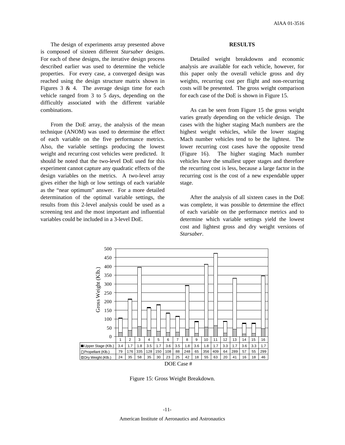The design of experiments array presented above is composed of sixteen different *Starsaber* designs. For each of these designs, the iterative design process described earlier was used to determine the vehicle properties. For every case, a converged design was reached using the design structure matrix shown in Figures  $3 \& 4$ . The average design time for each vehicle ranged from 3 to 5 days, depending on the difficultly associated with the different variable combinations.

From the DoE array, the analysis of the mean technique (ANOM) was used to determine the effect of each variable on the five performance metrics. Also, the variable settings producing the lowest weight and recurring cost vehicles were predicted. It should be noted that the two-level DoE used for this experiment cannot capture any quadratic effects of the design variables on the metrics. A two-level array gives either the high or low settings of each variable as the "near optimum" answer. For a more detailed determination of the optimal variable settings, the results from this 2-level analysis could be used as a screening test and the most important and influential variables could be included in a 3-level DoE.

#### **RESULTS**

Detailed weight breakdowns and economic analysis are available for each vehicle, however, for this paper only the overall vehicle gross and dry weights, recurring cost per flight and non-recurring costs will be presented. The gross weight comparison for each case of the DoE is shown in Figure 15.

As can be seen from Figure 15 the gross weight varies greatly depending on the vehicle design. The cases with the higher staging Mach numbers are the highest weight vehicles, while the lower staging Mach number vehicles tend to be the lightest. The lower recurring cost cases have the opposite trend (Figure 16). The higher staging Mach number vehicles have the smallest upper stages and therefore the recurring cost is less, because a large factor in the recurring cost is the cost of a new expendable upper stage.

After the analysis of all sixteen cases in the DoE was complete, it was possible to determine the effect of each variable on the performance metrics and to determine which variable settings yield the lowest cost and lightest gross and dry weight versions of *Starsaber*.



Figure 15: Gross Weight Breakdown.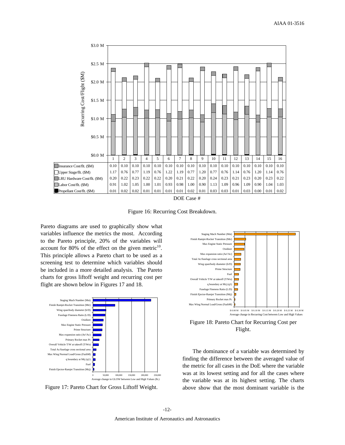

DOE Case #

Figure 16: Recurring Cost Breakdown.

Pareto diagrams are used to graphically show what variables influence the metrics the most. According to the Pareto principle, 20% of the variables will account for 80% of the effect on the given metric $10$ . This principle allows a Pareto chart to be used as a screening test to determine which variables should be included in a more detailed analysis. The Pareto charts for gross liftoff weight and recurring cost per flight are shown below in Figures 17 and 18.



Figure 17: Pareto Chart for Gross Liftoff Weight.





The dominance of a variable was determined by finding the difference between the averaged value of the metric for all cases in the DoE where the variable was at its lowest setting and for all the cases where the variable was at its highest setting. The charts above show that the most dominant variable is the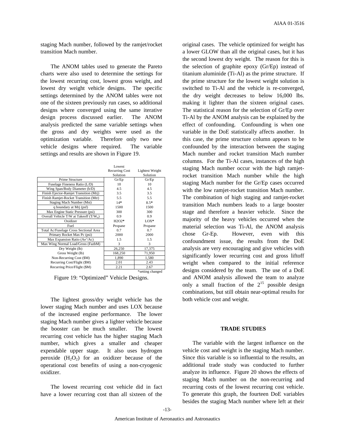staging Mach number, followed by the ramjet/rocket transition Mach number.

The ANOM tables used to generate the Pareto charts were also used to determine the settings for the lowest recurring cost, lowest gross weight, and lowest dry weight vehicle designs. The specific settings determined by the ANOM tables were not one of the sixteen previously run cases, so additional designs where converged using the same iterative design process discussed earlier. The ANOM analysis predicted the same variable settings when the gross and dry weights were used as the optimization variable. Therefore only two new vehicle designs where required. The variable settings and results are shown in Figure 19.

|                                                    | Lowest<br><b>Recurring Cost</b><br>Solution | <b>Lightest Weight</b><br>Solution |
|----------------------------------------------------|---------------------------------------------|------------------------------------|
| Prime Structure                                    | Gr/Ep                                       | Gr/Ep                              |
| Fuselage Fineness Ratio (L/D)                      | 10                                          | 10                                 |
| Wing Span/Body Diameter (b/D)                      | 4.5                                         | 4.5                                |
| Finish Ejector-Ramjet Transition (Mrj)             | 3.5                                         | 3.5                                |
| Finish Ramjet-Rocket Transition (Mtr)              | 5.5                                         | 5.5                                |
| Staging Mach Number (Mst)                          | $14*$                                       | $8.5*$                             |
| q boundary at Mri (psf)                            | 1500                                        | 1500                               |
| Max Engine Static Pressure (psi)                   | 300                                         | 300                                |
| Overall Vehicle T/W at Takeoff (T/W <sub>o</sub> ) | 0.9                                         | 0.9                                |
| Oxidizer                                           | $H2O2*$                                     | $LOX^*$                            |
| Fuel                                               | Propane                                     | Propane                            |
| Total Ac/Fuselage Cross Sectional Area             | 0.7                                         | 0.7                                |
| Primary Rocket Max Pc (psi)                        | 2000                                        | 2000                               |
| Max Expansion Ratio (Ae'/Ac)                       | 1.5                                         | 1.5                                |
| Max Wing Normal Load/Gross (FazbM)                 | 3                                           | 3                                  |
| Dry Weight (lb)                                    | 26,250                                      | 17,375                             |
| Gross Weight (lb)                                  | 168,250                                     | 71,950                             |
| Non-Recurring Cost (\$M)                           | 1,890                                       | 1,580                              |
| Recurring Cost/Flight (\$M)                        | 2.01                                        | 2.43                               |
| Recurring Price/Flight (\$M)                       | 2.21                                        | 2.67                               |
|                                                    |                                             | *setting changed                   |

Figure 19: "Optimized" Vehicle Designs.

The lightest gross/dry weight vehicle has the lower staging Mach number and uses LOX because of the increased engine performance. The lower staging Mach number gives a lighter vehicle because the booster can be much smaller. The lowest recurring cost vehicle has the higher staging Mach number, which gives a smaller and cheaper expendable upper stage. It also uses hydrogen peroxide  $(H_2O_2)$  for an oxidizer because of the operational cost benefits of using a non-cryogenic oxidizer.

The lowest recurring cost vehicle did in fact have a lower recurring cost than all sixteen of the

original cases. The vehicle optimized for weight has a lower GLOW than all the original cases, but it has the second lowest dry weight. The reason for this is the selection of graphite epoxy (Gr/Ep) instead of titanium aluminide (Ti-Al) as the prime structure. If the prime structure for the lowest weight solution is switched to Ti-Al and the vehicle is re-converged, the dry weight decreases to below 16,000 lbs. making it lighter than the sixteen original cases. The statistical reason for the selection of Gr/Ep over Ti-Al by the ANOM analysis can be explained by the effect of confounding. Confounding is when one variable in the DoE statistically affects another. In this case, the prime structure column appears to be confounded by the interaction between the staging Mach number and rocket transition Mach number columns. For the Ti-Al cases, instances of the high staging Mach number occur with the high ramjetrocket transition Mach number while the high staging Mach number for the Gr/Ep cases occurred with the low ramjet-rocket transition Mach number. The combination of high staging and ramjet-rocket transition Mach numbers leads to a large booster stage and therefore a heavier vehicle. Since the majority of the heavy vehicles occurred when the material selection was Ti-Al, the ANOM analysis chose Gr-Ep. However, even with this confoundment issue, the results from the DoE analysis are very encouraging and give vehicles with significantly lower recurring cost and gross liftoff weight when compared to the initial reference designs considered by the team. The use of a DoE and ANOM analysis allowed the team to analyze only a small fraction of the  $2^{15}$  possible design combinations, but still obtain near-optimal results for both vehicle cost and weight.

# **TRADE STUDIES**

The variable with the largest influence on the vehicle cost and weight is the staging Mach number. Since this variable is so influential to the results, an additional trade study was conducted to further analyze its influence. Figure 20 shows the effects of staging Mach number on the non-recurring and recurring costs of the lowest recurring cost vehicle. To generate this graph, the fourteen DoE variables besides the staging Mach number where left at their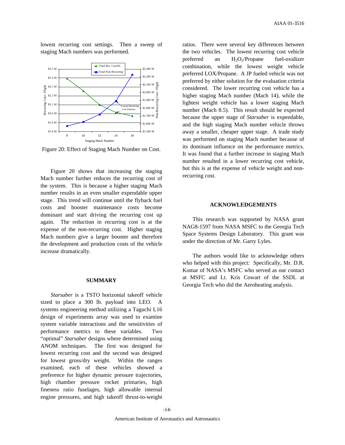lowest recurring cost settings. Then a sweep of staging Mach numbers was performed.



Figure 20: Effect of Staging Mach Number on Cost.

Figure 20 shows that increasing the staging Mach number further reduces the recurring cost of the system. This is because a higher staging Mach number results in an even smaller expendable upper stage. This trend will continue until the flyback fuel costs and booster maintenance costs become dominant and start driving the recurring cost up again. The reduction in recurring cost is at the expense of the non-recurring cost. Higher staging Mach numbers give a larger booster and therefore the development and production costs of the vehicle increase dramatically.

## **SUMMARY**

*Starsaber* is a TSTO horizontal takeoff vehicle sized to place a 300 lb. payload into LEO. A systems engineering method utilizing a Taguchi L16 design of experiments array was used to examine system variable interactions and the sensitivities of performance metrics to these variables. Two "optimal" *Starsaber* designs where determined using ANOM techniques. The first was designed for lowest recurring cost and the second was designed for lowest gross/dry weight. Within the ranges examined, each of these vehicles showed a preference for higher dynamic pressure trajectories, high chamber pressure rocket primaries, high fineness ratio fuselages, high allowable internal engine pressures, and high takeoff thrust-to-weight

ratios. There were several key differences between the two vehicles. The lowest recurring cost vehicle preferred an  $H_2O_2$ /Propane fuel-oxidizer combination, while the lowest weight vehicle preferred LOX/Propane. A JP fueled vehicle was not preferred by either solution for the evaluation criteria considered. The lower recurring cost vehicle has a higher staging Mach number (Mach 14), while the lightest weight vehicle has a lower staging Mach number (Mach 8.5). This result should be expected because the upper stage of *Starsaber* is expendable, and the high staging Mach number vehicle throws away a smaller, cheaper upper stage. A trade study was performed on staging Mach number because of its dominant influence on the performance metrics. It was found that a further increase in staging Mach number resulted in a lower recurring cost vehicle, but this is at the expense of vehicle weight and nonrecurring cost.

#### **ACKNOWLEDGEMENTS**

This research was supported by NASA grant NAG8-1597 from NASA MSFC to the Georgia Tech Space Systems Design Laboratory. This grant was under the direction of Mr. Garry Lyles.

The authors would like to acknowledge others who helped with this project: Specifically, Mr. D.R. Komar of NASA's MSFC who served as our contact at MSFC and Lt. Kris Cowart of the SSDL at Georgia Tech who did the Aeroheating analysis.